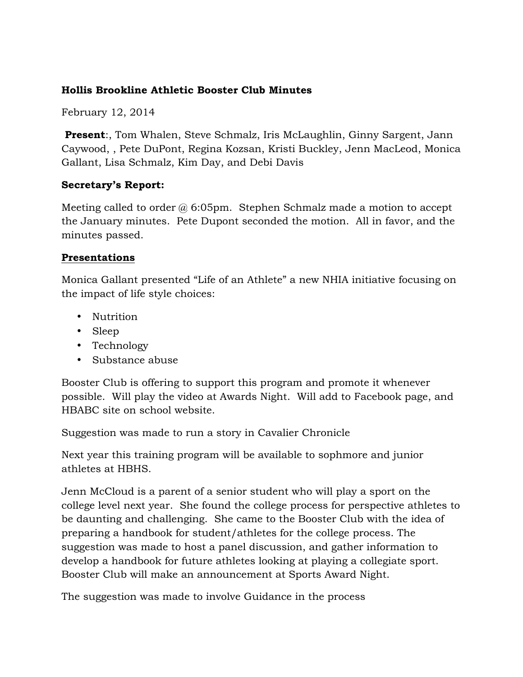### **Hollis Brookline Athletic Booster Club Minutes**

February 12, 2014

**Present**:, Tom Whalen, Steve Schmalz, Iris McLaughlin, Ginny Sargent, Jann Caywood, , Pete DuPont, Regina Kozsan, Kristi Buckley, Jenn MacLeod, Monica Gallant, Lisa Schmalz, Kim Day, and Debi Davis

# **Secretary's Report:**

Meeting called to order  $\omega$  6:05pm. Stephen Schmalz made a motion to accept the January minutes. Pete Dupont seconded the motion. All in favor, and the minutes passed.

# **Presentations**

Monica Gallant presented "Life of an Athlete" a new NHIA initiative focusing on the impact of life style choices:

- Nutrition
- Sleep
- Technology
- Substance abuse

Booster Club is offering to support this program and promote it whenever possible. Will play the video at Awards Night. Will add to Facebook page, and HBABC site on school website.

Suggestion was made to run a story in Cavalier Chronicle

Next year this training program will be available to sophmore and junior athletes at HBHS.

Jenn McCloud is a parent of a senior student who will play a sport on the college level next year. She found the college process for perspective athletes to be daunting and challenging. She came to the Booster Club with the idea of preparing a handbook for student/athletes for the college process. The suggestion was made to host a panel discussion, and gather information to develop a handbook for future athletes looking at playing a collegiate sport. Booster Club will make an announcement at Sports Award Night.

The suggestion was made to involve Guidance in the process